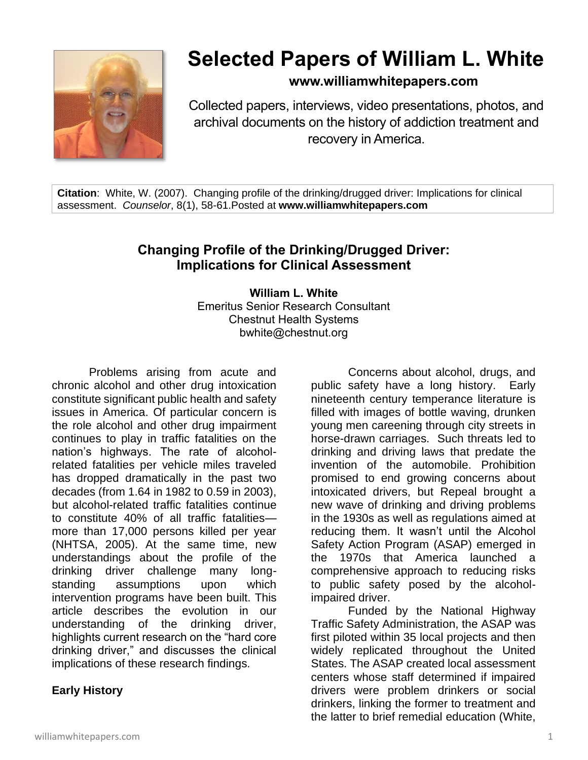

# **Selected Papers of William L. White**

## **www.williamwhitepapers.com**

Collected papers, interviews, video presentations, photos, and archival documents on the history of addiction treatment and recovery in America.

**Citation**: White, W. (2007). Changing profile of the drinking/drugged driver: Implications for clinical assessment. *Counselor*, 8(1), 58-61.Posted at **www.williamwhitepapers.com**

# **Changing Profile of the Drinking/Drugged Driver: Implications for Clinical Assessment**

**William L. White** Emeritus Senior Research Consultant Chestnut Health Systems bwhite@chestnut.org

Problems arising from acute and chronic alcohol and other drug intoxication constitute significant public health and safety issues in America. Of particular concern is the role alcohol and other drug impairment continues to play in traffic fatalities on the nation's highways. The rate of alcoholrelated fatalities per vehicle miles traveled has dropped dramatically in the past two decades (from 1.64 in 1982 to 0.59 in 2003), but alcohol-related traffic fatalities continue to constitute 40% of all traffic fatalities more than 17,000 persons killed per year (NHTSA, 2005). At the same time, new understandings about the profile of the drinking driver challenge many longstanding assumptions upon which intervention programs have been built. This article describes the evolution in our understanding of the drinking driver, highlights current research on the "hard core drinking driver," and discusses the clinical implications of these research findings.

#### **Early History**

Concerns about alcohol, drugs, and public safety have a long history. Early nineteenth century temperance literature is filled with images of bottle waving, drunken young men careening through city streets in horse-drawn carriages. Such threats led to drinking and driving laws that predate the invention of the automobile. Prohibition promised to end growing concerns about intoxicated drivers, but Repeal brought a new wave of drinking and driving problems in the 1930s as well as regulations aimed at reducing them. It wasn't until the Alcohol Safety Action Program (ASAP) emerged in the 1970s that America launched a comprehensive approach to reducing risks to public safety posed by the alcoholimpaired driver.

Funded by the National Highway Traffic Safety Administration, the ASAP was first piloted within 35 local projects and then widely replicated throughout the United States. The ASAP created local assessment centers whose staff determined if impaired drivers were problem drinkers or social drinkers, linking the former to treatment and the latter to brief remedial education (White,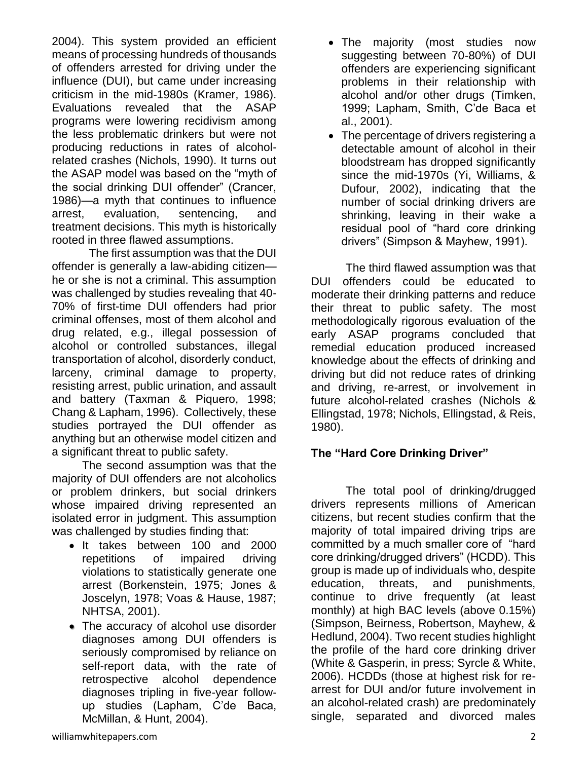2004). This system provided an efficient means of processing hundreds of thousands of offenders arrested for driving under the influence (DUI), but came under increasing criticism in the mid-1980s (Kramer, 1986). Evaluations revealed that the ASAP programs were lowering recidivism among the less problematic drinkers but were not producing reductions in rates of alcoholrelated crashes (Nichols, 1990). It turns out the ASAP model was based on the "myth of the social drinking DUI offender" (Crancer, 1986)—a myth that continues to influence arrest, evaluation, sentencing, and treatment decisions. This myth is historically rooted in three flawed assumptions.

The first assumption was that the DUI offender is generally a law-abiding citizen he or she is not a criminal. This assumption was challenged by studies revealing that 40- 70% of first-time DUI offenders had prior criminal offenses, most of them alcohol and drug related, e.g., illegal possession of alcohol or controlled substances, illegal transportation of alcohol, disorderly conduct, larceny, criminal damage to property, resisting arrest, public urination, and assault and battery (Taxman & Piquero, 1998; Chang & Lapham, 1996). Collectively, these studies portrayed the DUI offender as anything but an otherwise model citizen and a significant threat to public safety.

The second assumption was that the majority of DUI offenders are not alcoholics or problem drinkers, but social drinkers whose impaired driving represented an isolated error in judgment. This assumption was challenged by studies finding that:

- It takes between 100 and 2000 repetitions of impaired driving violations to statistically generate one arrest (Borkenstein, 1975; Jones & Joscelyn, 1978; Voas & Hause, 1987; NHTSA, 2001).
- The accuracy of alcohol use disorder diagnoses among DUI offenders is seriously compromised by reliance on self-report data, with the rate of retrospective alcohol dependence diagnoses tripling in five-year followup studies (Lapham, C'de Baca, McMillan, & Hunt, 2004).
- The majority (most studies now suggesting between 70-80%) of DUI offenders are experiencing significant problems in their relationship with alcohol and/or other drugs (Timken, 1999; Lapham, Smith, C'de Baca et al., 2001).
- The percentage of drivers registering a detectable amount of alcohol in their bloodstream has dropped significantly since the mid-1970s (Yi, Williams, & Dufour, 2002), indicating that the number of social drinking drivers are shrinking, leaving in their wake a residual pool of "hard core drinking drivers" (Simpson & Mayhew, 1991).

The third flawed assumption was that DUI offenders could be educated to moderate their drinking patterns and reduce their threat to public safety. The most methodologically rigorous evaluation of the early ASAP programs concluded that remedial education produced increased knowledge about the effects of drinking and driving but did not reduce rates of drinking and driving, re-arrest, or involvement in future alcohol-related crashes (Nichols & Ellingstad, 1978; Nichols, Ellingstad, & Reis, 1980).

## **The "Hard Core Drinking Driver"**

The total pool of drinking/drugged drivers represents millions of American citizens, but recent studies confirm that the majority of total impaired driving trips are committed by a much smaller core of "hard core drinking/drugged drivers" (HCDD). This group is made up of individuals who, despite education, threats, and punishments, continue to drive frequently (at least monthly) at high BAC levels (above 0.15%) (Simpson, Beirness, Robertson, Mayhew, & Hedlund, 2004). Two recent studies highlight the profile of the hard core drinking driver (White & Gasperin, in press; Syrcle & White, 2006). HCDDs (those at highest risk for rearrest for DUI and/or future involvement in an alcohol-related crash) are predominately single, separated and divorced males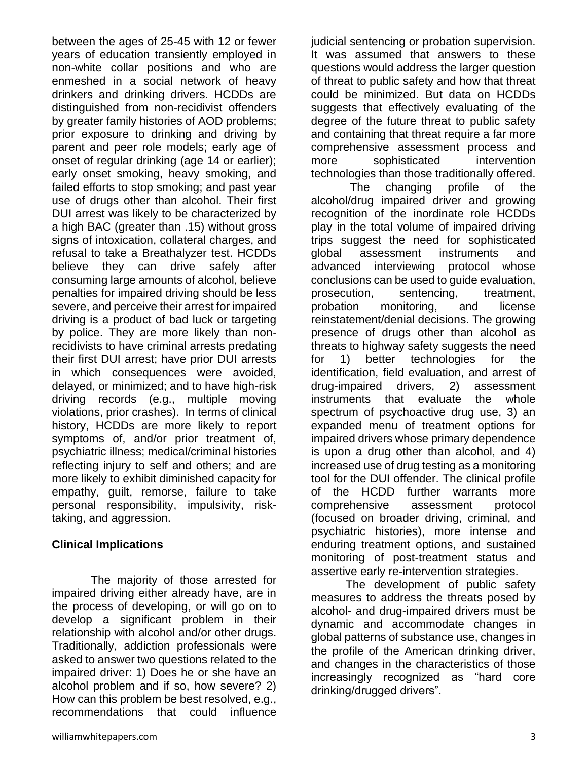between the ages of 25-45 with 12 or fewer years of education transiently employed in non-white collar positions and who are enmeshed in a social network of heavy drinkers and drinking drivers. HCDDs are distinguished from non-recidivist offenders by greater family histories of AOD problems; prior exposure to drinking and driving by parent and peer role models; early age of onset of regular drinking (age 14 or earlier); early onset smoking, heavy smoking, and failed efforts to stop smoking; and past year use of drugs other than alcohol. Their first DUI arrest was likely to be characterized by a high BAC (greater than .15) without gross signs of intoxication, collateral charges, and refusal to take a Breathalyzer test. HCDDs believe they can drive safely after consuming large amounts of alcohol, believe penalties for impaired driving should be less severe, and perceive their arrest for impaired driving is a product of bad luck or targeting by police. They are more likely than nonrecidivists to have criminal arrests predating their first DUI arrest; have prior DUI arrests in which consequences were avoided, delayed, or minimized; and to have high-risk driving records (e.g., multiple moving violations, prior crashes). In terms of clinical history, HCDDs are more likely to report symptoms of, and/or prior treatment of, psychiatric illness; medical/criminal histories reflecting injury to self and others; and are more likely to exhibit diminished capacity for empathy, guilt, remorse, failure to take personal responsibility, impulsivity, risktaking, and aggression.

#### **Clinical Implications**

The majority of those arrested for impaired driving either already have, are in the process of developing, or will go on to develop a significant problem in their relationship with alcohol and/or other drugs. Traditionally, addiction professionals were asked to answer two questions related to the impaired driver: 1) Does he or she have an alcohol problem and if so, how severe? 2) How can this problem be best resolved, e.g., recommendations that could influence

judicial sentencing or probation supervision. It was assumed that answers to these questions would address the larger question of threat to public safety and how that threat could be minimized. But data on HCDDs suggests that effectively evaluating of the degree of the future threat to public safety and containing that threat require a far more comprehensive assessment process and more sophisticated intervention technologies than those traditionally offered.

The changing profile of the alcohol/drug impaired driver and growing recognition of the inordinate role HCDDs play in the total volume of impaired driving trips suggest the need for sophisticated global assessment instruments and advanced interviewing protocol whose conclusions can be used to guide evaluation, prosecution, sentencing, treatment, probation monitoring, and license reinstatement/denial decisions. The growing presence of drugs other than alcohol as threats to highway safety suggests the need for 1) better technologies for the identification, field evaluation, and arrest of drug-impaired drivers, 2) assessment instruments that evaluate the whole spectrum of psychoactive drug use, 3) an expanded menu of treatment options for impaired drivers whose primary dependence is upon a drug other than alcohol, and 4) increased use of drug testing as a monitoring tool for the DUI offender. The clinical profile of the HCDD further warrants more comprehensive assessment protocol (focused on broader driving, criminal, and psychiatric histories), more intense and enduring treatment options, and sustained monitoring of post-treatment status and assertive early re-intervention strategies.

The development of public safety measures to address the threats posed by alcohol- and drug-impaired drivers must be dynamic and accommodate changes in global patterns of substance use, changes in the profile of the American drinking driver, and changes in the characteristics of those increasingly recognized as "hard core drinking/drugged drivers".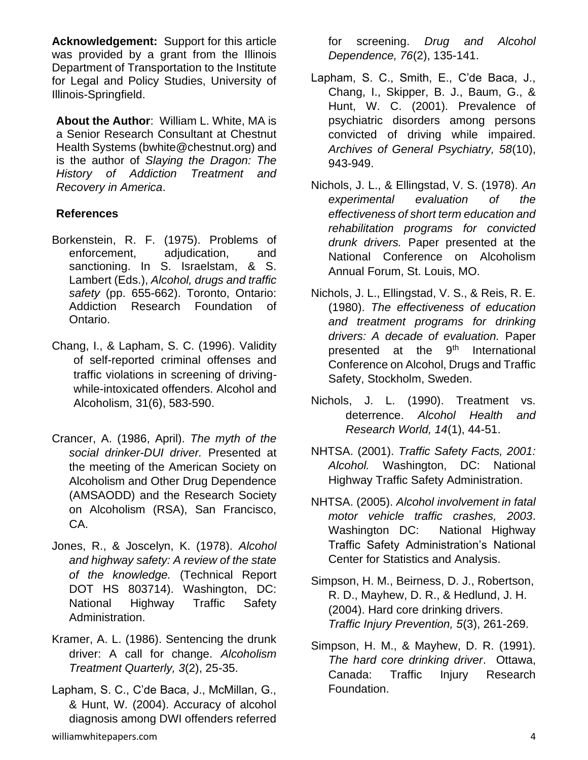**Acknowledgement:** Support for this article was provided by a grant from the Illinois Department of Transportation to the Institute for Legal and Policy Studies, University of Illinois-Springfield.

**About the Author**: William L. White, MA is a Senior Research Consultant at Chestnut Health Systems (bwhite@chestnut.org) and is the author of *Slaying the Dragon: The History of Addiction Treatment and Recovery in America*.

#### **References**

- Borkenstein, R. F. (1975). Problems of enforcement, adjudication, and sanctioning. In S. Israelstam, & S. Lambert (Eds.), *Alcohol, drugs and traffic safety* (pp. 655-662). Toronto, Ontario: Addiction Research Foundation of Ontario.
- Chang, I., & Lapham, S. C. (1996). Validity of self-reported criminal offenses and traffic violations in screening of drivingwhile-intoxicated offenders. Alcohol and Alcoholism, 31(6), 583-590.
- Crancer, A. (1986, April). *The myth of the social drinker-DUI driver.* Presented at the meeting of the American Society on Alcoholism and Other Drug Dependence (AMSAODD) and the Research Society on Alcoholism (RSA), San Francisco, CA.
- Jones, R., & Joscelyn, K. (1978). *Alcohol and highway safety: A review of the state of the knowledge.* (Technical Report DOT HS 803714). Washington, DC: National Highway Traffic Safety Administration.
- Kramer, A. L. (1986). Sentencing the drunk driver: A call for change. *Alcoholism Treatment Quarterly, 3*(2), 25-35.
- Lapham, S. C., C'de Baca, J., McMillan, G., & Hunt, W. (2004). Accuracy of alcohol diagnosis among DWI offenders referred

for screening. *Drug and Alcohol Dependence, 76*(2), 135-141.

- Lapham, S. C., Smith, E., C'de Baca, J., Chang, I., Skipper, B. J., Baum, G., & Hunt, W. C. (2001). Prevalence of psychiatric disorders among persons convicted of driving while impaired. *Archives of General Psychiatry, 58*(10), 943-949.
- Nichols, J. L., & Ellingstad, V. S. (1978). *An experimental evaluation of the effectiveness of short term education and rehabilitation programs for convicted drunk drivers.* Paper presented at the National Conference on Alcoholism Annual Forum, St. Louis, MO.
- Nichols, J. L., Ellingstad, V. S., & Reis, R. E. (1980). *The effectiveness of education and treatment programs for drinking drivers: A decade of evaluation.* Paper presented at the 9th International Conference on Alcohol, Drugs and Traffic Safety, Stockholm, Sweden.
- Nichols, J. L. (1990). Treatment vs. deterrence. *Alcohol Health and Research World, 14*(1), 44-51.
- NHTSA. (2001). *Traffic Safety Facts, 2001: Alcohol.* Washington, DC: National Highway Traffic Safety Administration.
- NHTSA. (2005). *Alcohol involvement in fatal motor vehicle traffic crashes, 2003*. Washington DC: National Highway Traffic Safety Administration's National Center for Statistics and Analysis.
- Simpson, H. M., Beirness, D. J., Robertson, R. D., Mayhew, D. R., & Hedlund, J. H. (2004). Hard core drinking drivers. *Traffic Injury Prevention, 5*(3), 261-269.
- Simpson, H. M., & Mayhew, D. R. (1991). *The hard core drinking driver*. Ottawa, Canada: Traffic Injury Research Foundation.